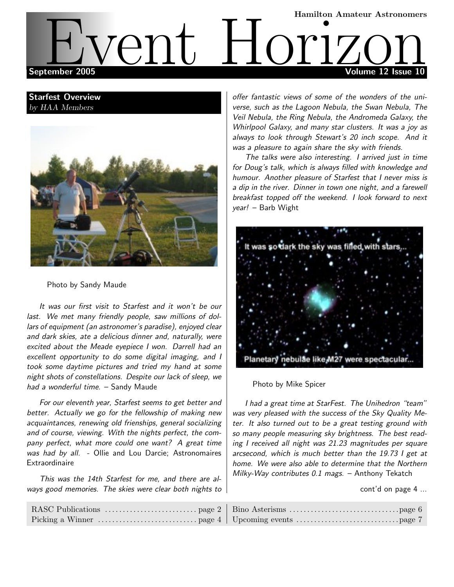# Hamilton Amateur Astronomers September 2005 Volume 12 Issue 10 EVent Hamilton Amateur Astronomers

# Starfest Overview by HAA Members



Photo by Sandy Maude

It was our first visit to Starfest and it won't be our last. We met many friendly people, saw millions of dollars of equipment (an astronomer's paradise), enjoyed clear and dark skies, ate a delicious dinner and, naturally, were excited about the Meade eyepiece I won. Darrell had an excellent opportunity to do some digital imaging, and I took some daytime pictures and tried my hand at some night shots of constellations. Despite our lack of sleep, we had a wonderful time. - Sandy Maude

For our eleventh year, Starfest seems to get better and better. Actually we go for the fellowship of making new acquaintances, renewing old frienships, general socializing and of course, viewing. With the nights perfect, the company perfect, what more could one want? A great time was had by all. - Ollie and Lou Darcie; Astronomaires **Extraordinaire** 

This was the 14th Starfest for me, and there are always good memories. The skies were clear both nights to

RASC Publications . . . . . . . . . . . . . . . . . . . . . . . . . . page 2 Picking a Winner . . . . . . . . . . . . . . . . . . . . . . . . . . . . page 4 offer fantastic views of some of the wonders of the universe, such as the Lagoon Nebula, the Swan Nebula, The Veil Nebula, the Ring Nebula, the Andromeda Galaxy, the Whirlpool Galaxy, and many star clusters. It was a joy as always to look through Stewart's 20 inch scope. And it was a pleasure to again share the sky with friends.

The talks were also interesting. I arrived just in time for Doug's talk, which is always filled with knowledge and humour. Another pleasure of Starfest that I never miss is a dip in the river. Dinner in town one night, and a farewell breakfast topped off the weekend. I look forward to next year! – Barb Wight



Photo by Mike Spicer

I had a great time at StarFest. The Unihedron "team" was very pleased with the success of the Sky Quality Meter. It also turned out to be a great testing ground with so many people measuring sky brightness. The best reading I received all night was 21.23 magnitudes per square arcsecond, which is much better than the 19.73 I get at home. We were also able to determine that the Northern Milky-Way contributes  $0.1$  mags. – Anthony Tekatch

cont'd on page 4 ...

| Upcoming events $\dots\dots\dots\dots\dots\dots\dots\dots\dots$ |  |
|-----------------------------------------------------------------|--|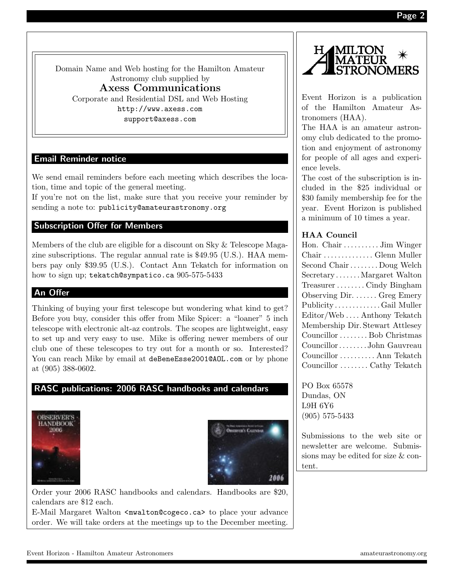Page 2

Domain Name and Web hosting for the Hamilton Amateur Astronomy club supplied by Axess Communications Corporate and Residential DSL and Web Hosting http://www.axess.com support@axess.com

# Email Reminder notice

We send email reminders before each meeting which describes the location, time and topic of the general meeting.

If you're not on the list, make sure that you receive your reminder by sending a note to: publicity@amateurastronomy.org

# Subscription Offer for Members

Members of the club are eligible for a discount on Sky & Telescope Magazine subscriptions. The regular annual rate is \$49.95 (U.S.). HAA members pay only \$39.95 (U.S.). Contact Ann Tekatch for information on how to sign up; tekatch@sympatico.ca 905-575-5433

# An Offer

Thinking of buying your first telescope but wondering what kind to get? Before you buy, consider this offer from Mike Spicer: a "loaner" 5 inch telescope with electronic alt-az controls. The scopes are lightweight, easy to set up and very easy to use. Mike is offering newer members of our club one of these telescopes to try out for a month or so. Interested? You can reach Mike by email at deBeneEsse2001@AOL.com or by phone at (905) 388-0602.

# RASC publications: 2006 RASC handbooks and calendars





Order your 2006 RASC handbooks and calendars. Handbooks are \$20, calendars are \$12 each.

E-Mail Margaret Walton <mwalton@cogeco.ca> to place your advance order. We will take orders at the meetings up to the December meeting.



Event Horizon is a publication of the Hamilton Amateur Astronomers (HAA).

The HAA is an amateur astronomy club dedicated to the promotion and enjoyment of astronomy for people of all ages and experience levels.

The cost of the subscription is included in the \$25 individual or \$30 family membership fee for the year. Event Horizon is published a minimum of 10 times a year.

#### HAA Council

| Hon. Chair  Jim Winger           |
|----------------------------------|
| Chair  Glenn Muller              |
| Second Chair  Doug Welch         |
| SecretaryMargaret Walton         |
| TreasurerCindy Bingham           |
| Observing Dir.  Greg Emery       |
| PublicityGail Muller             |
| Editor/WebAnthony Tekatch        |
| Membership Dir. Stewart Attlesey |
| Councillor  Bob Christmas        |
| CouncillorJohn Gauvreau          |
| Councillor  Ann Tekatch          |
| Councillor  Cathy Tekatch        |

PO Box 65578 Dundas, ON L9H 6Y6 (905) 575-5433

Submissions to the web site or newsletter are welcome. Submissions may be edited for size & content.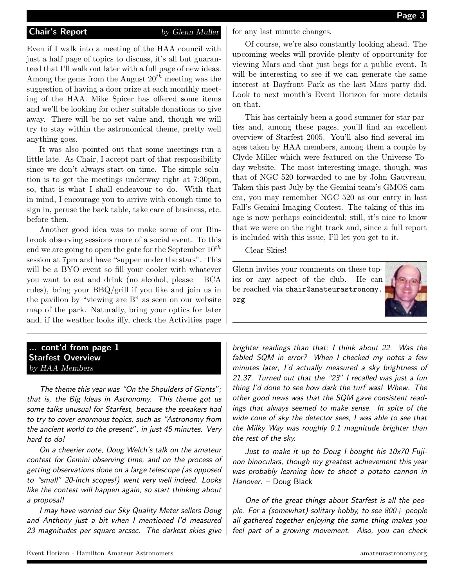#### **Chair's Report** by Glenn Muller

Even if I walk into a meeting of the HAA council with just a half page of topics to discuss, it's all but guaranteed that I'll walk out later with a full page of new ideas. Among the gems from the August  $20^{th}$  meeting was the suggestion of having a door prize at each monthly meeting of the HAA. Mike Spicer has offered some items and we'll be looking for other suitable donations to give away. There will be no set value and, though we will try to stay within the astronomical theme, pretty well anything goes.

It was also pointed out that some meetings run a little late. As Chair, I accept part of that responsibility since we don't always start on time. The simple solution is to get the meetings underway right at 7:30pm, so, that is what I shall endeavour to do. With that in mind, I encourage you to arrive with enough time to sign in, peruse the back table, take care of business, etc. before then.

Another good idea was to make some of our Binbrook observing sessions more of a social event. To this end we are going to open the gate for the September  $10^{th}$ session at 7pm and have "supper under the stars". This will be a BYO event so fill your cooler with whatever you want to eat and drink (no alcohol, please – BCA rules), bring your BBQ/grill if you like and join us in the pavilion by "viewing are B" as seen on our website map of the park. Naturally, bring your optics for later and, if the weather looks iffy, check the Activities page for any last minute changes.

Of course, we're also constantly looking ahead. The upcoming weeks will provide plenty of opportunity for viewing Mars and that just begs for a public event. It will be interesting to see if we can generate the same interest at Bayfront Park as the last Mars party did. Look to next month's Event Horizon for more details on that.

This has certainly been a good summer for star parties and, among these pages, you'll find an excellent overview of Starfest 2005. You'll also find several images taken by HAA members, among them a couple by Clyde Miller which were featured on the Universe Today website. The most interesting image, though, was that of NGC 520 forwarded to me by John Gauvreau. Taken this past July by the Gemini team's GMOS camera, you may remember NGC 520 as our entry in last Fall's Gemini Imaging Contest. The taking of this image is now perhaps coincidental; still, it's nice to know that we were on the right track and, since a full report is included with this issue, I'll let you get to it.

Clear Skies!

Glenn invites your comments on these topics or any aspect of the club. He can be reached via chair@amateurastronomy. org



### cont'd from page 1 Starfest Overview by HAA Members

The theme this year was "On the Shoulders of Giants"; that is, the Big Ideas in Astronomy. This theme got us some talks unusual for Starfest, because the speakers had to try to cover enormous topics, such as "Astronomy from the ancient world to the present", in just 45 minutes. Very hard to do!

On a cheerier note, Doug Welch's talk on the amateur contest for Gemini observing time, and on the process of getting observations done on a large telescope (as opposed to "small" 20-inch scopes!) went very well indeed. Looks like the contest will happen again, so start thinking about a proposal!

I may have worried our Sky Quality Meter sellers Doug and Anthony just a bit when I mentioned I'd measured 23 magnitudes per square arcsec. The darkest skies give brighter readings than that; I think about 22. Was the fabled SQM in error? When I checked my notes a few minutes later, I'd actually measured a sky brightness of 21.37. Turned out that the "23" I recalled was just a fun thing I'd done to see how dark the turf was! Whew. The other good news was that the SQM gave consistent readings that always seemed to make sense. In spite of the wide cone of sky the detector sees, I was able to see that the Milky Way was roughly 0.1 magnitude brighter than the rest of the sky.

Just to make it up to Doug I bought his 10x70 Fujinon binoculars, though my greatest achievement this year was probably learning how to shoot a potato cannon in Hanover. – Doug Black

One of the great things about Starfest is all the people. For a (somewhat) solitary hobby, to see  $800+$  people all gathered together enjoying the same thing makes you feel part of a growing movement. Also, you can check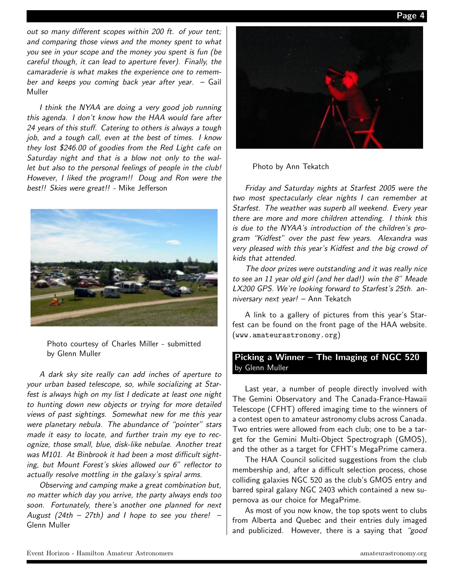Page

out so many different scopes within 200 ft. of your tent; and comparing those views and the money spent to what you see in your scope and the money you spent is fun (be careful though, it can lead to aperture fever). Finally, the camaraderie is what makes the experience one to remember and keeps you coming back year after year. – Gail Muller

I think the NYAA are doing a very good job running this agenda. I don't know how the HAA would fare after 24 years of this stuff. Catering to others is always a tough job, and a tough call, even at the best of times. I know they lost \$246.00 of goodies from the Red Light cafe on Saturday night and that is a blow not only to the wallet but also to the personal feelings of people in the club! However, I liked the program!! Doug and Ron were the best!! Skies were great!! - Mike Jefferson



Photo courtesy of Charles Miller - submitted by Glenn Muller

A dark sky site really can add inches of aperture to your urban based telescope, so, while socializing at Starfest is always high on my list I dedicate at least one night to hunting down new objects or trying for more detailed views of past sightings. Somewhat new for me this year were planetary nebula. The abundance of "pointer" stars made it easy to locate, and further train my eye to recognize, those small, blue, disk-like nebulae. Another treat was M101. At Binbrook it had been a most difficult sighting, but Mount Forest's skies allowed our 6" reflector to actually resolve mottling in the galaxy's spiral arms.

Observing and camping make a great combination but, no matter which day you arrive, the party always ends too soon. Fortunately, there's another one planned for next August (24th – 27th) and I hope to see you there! – Glenn Muller



Photo by Ann Tekatch

Friday and Saturday nights at Starfest 2005 were the two most spectacularly clear nights I can remember at Starfest. The weather was superb all weekend. Every year there are more and more children attending. I think this is due to the NYAA's introduction of the children's program "Kidfest" over the past few years. Alexandra was very pleased with this year's Kidfest and the big crowd of kids that attended.

The door prizes were outstanding and it was really nice to see an 11 year old girl (and her dad!) win the 8" Meade LX200 GPS. We're looking forward to Starfest's 25th. anniversary next year! – Ann Tekatch

A link to a gallery of pictures from this year's Starfest can be found on the front page of the HAA website. (www.amateurastronomy.org)

# Picking a Winner – The Imaging of NGC 520 by Glenn Muller

Last year, a number of people directly involved with The Gemini Observatory and The Canada-France-Hawaii Telescope (CFHT) offered imaging time to the winners of a contest open to amateur astronomy clubs across Canada. Two entries were allowed from each club; one to be a target for the Gemini Multi-Object Spectrograph (GMOS), and the other as a target for CFHT's MegaPrime camera.

The HAA Council solicited suggestions from the club membership and, after a difficult selection process, chose colliding galaxies NGC 520 as the club's GMOS entry and barred spiral galaxy NGC 2403 which contained a new supernova as our choice for MegaPrime.

As most of you now know, the top spots went to clubs from Alberta and Quebec and their entries duly imaged and publicized. However, there is a saying that "good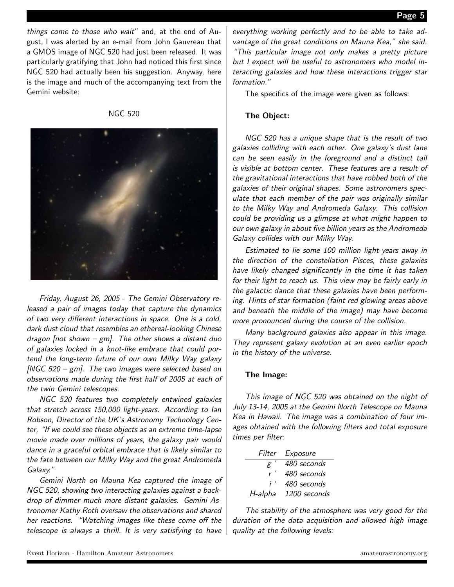things come to those who wait" and, at the end of August, I was alerted by an e-mail from John Gauvreau that a GMOS image of NGC 520 had just been released. It was particularly gratifying that John had noticed this first since NGC 520 had actually been his suggestion. Anyway, here is the image and much of the accompanying text from the Gemini website:

NGC 520



Friday, August 26, 2005 - The Gemini Observatory released a pair of images today that capture the dynamics of two very different interactions in space. One is a cold, dark dust cloud that resembles an ethereal-looking Chinese dragon  $[not shown - gm]$ . The other shows a distant duo of galaxies locked in a knot-like embrace that could portend the long-term future of our own Milky Way galaxy [NGC 520 – gm]. The two images were selected based on observations made during the first half of 2005 at each of the twin Gemini telescopes.

NGC 520 features two completely entwined galaxies that stretch across 150,000 light-years. According to Ian Robson, Director of the UK's Astronomy Technology Center, "If we could see these objects as an extreme time-lapse movie made over millions of years, the galaxy pair would dance in a graceful orbital embrace that is likely similar to the fate between our Milky Way and the great Andromeda Galaxy."

Gemini North on Mauna Kea captured the image of NGC 520, showing two interacting galaxies against a backdrop of dimmer much more distant galaxies. Gemini Astronomer Kathy Roth oversaw the observations and shared her reactions. "Watching images like these come off the telescope is always a thrill. It is very satisfying to have

everything working perfectly and to be able to take advantage of the great conditions on Mauna Kea," she said. "This particular image not only makes a pretty picture but I expect will be useful to astronomers who model interacting galaxies and how these interactions trigger star formation."

The specifics of the image were given as follows:

#### The Object:

NGC 520 has a unique shape that is the result of two galaxies colliding with each other. One galaxy's dust lane can be seen easily in the foreground and a distinct tail is visible at bottom center. These features are a result of the gravitational interactions that have robbed both of the galaxies of their original shapes. Some astronomers speculate that each member of the pair was originally similar to the Milky Way and Andromeda Galaxy. This collision could be providing us a glimpse at what might happen to our own galaxy in about five billion years as the Andromeda Galaxy collides with our Milky Way.

Estimated to lie some 100 million light-years away in the direction of the constellation Pisces, these galaxies have likely changed significantly in the time it has taken for their light to reach us. This view may be fairly early in the galactic dance that these galaxies have been performing. Hints of star formation (faint red glowing areas above and beneath the middle of the image) may have become more pronounced during the course of the collision.

Many background galaxies also appear in this image. They represent galaxy evolution at an even earlier epoch in the history of the universe.

#### The Image:

This image of NGC 520 was obtained on the night of July 13-14, 2005 at the Gemini North Telescope on Mauna Kea in Hawaii. The image was a combination of four images obtained with the following filters and total exposure times per filter:

|              | Filter Exposure |
|--------------|-----------------|
| g            | 480 seconds     |
| r'           | 480 seconds     |
| $i^{\prime}$ | 480 seconds     |
| H-alpha      | 1200 seconds    |

The stability of the atmosphere was very good for the duration of the data acquisition and allowed high image quality at the following levels: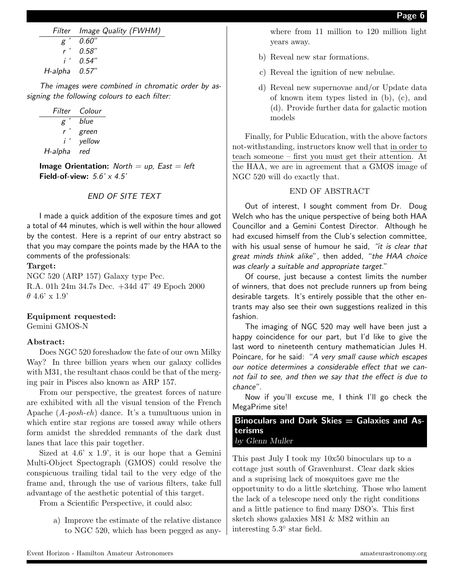|                    | Filter Image Quality (FWHM) |
|--------------------|-----------------------------|
|                    | $g'$ 0.60"                  |
|                    | $r'$ 0.58"                  |
|                    | $i'$ 0.54"                  |
| $H$ -alpha $0.57"$ |                             |

The images were combined in chromatic order by assigning the following colours to each filter:

| Filter  | Colour |
|---------|--------|
| g       | blue   |
| r       | green  |
| i'      | yellow |
| H-alpha | red    |

**Image Orientation:** North  $=$  up, East  $=$  left Field-of-view:  $5.6' \times 4.5'$ 

#### END OF SITE TEXT

I made a quick addition of the exposure times and got a total of 44 minutes, which is well within the hour allowed by the contest. Here is a reprint of our entry abstract so that you may compare the points made by the HAA to the comments of the professionals:

#### Target:

NGC 520 (ARP 157) Galaxy type Pec. R.A. 01h 24m 34.7s Dec. +34d 47' 49 Epoch 2000  $\theta$  4.6' x 1.9'

#### Equipment requested:

Gemini GMOS-N

#### Abstract:

Does NGC 520 foreshadow the fate of our own Milky Way? In three billion years when our galaxy collides with M31, the resultant chaos could be that of the merging pair in Pisces also known as ARP 157.

From our perspective, the greatest forces of nature are exhibited with all the visual tension of the French Apache (A-posh-eh) dance. It's a tumultuous union in which entire star regions are tossed away while others form amidst the shredded remnants of the dark dust lanes that lace this pair together.

Sized at  $4.6$ ' x  $1.9$ ', it is our hope that a Gemini Multi-Object Spectograph (GMOS) could resolve the conspicuous trailing tidal tail to the very edge of the frame and, through the use of various filters, take full advantage of the aesthetic potential of this target.

From a Scientific Perspective, it could also:

a) Improve the estimate of the relative distance to NGC 520, which has been pegged as any-

where from 11 million to 120 million light years away.

- b) Reveal new star formations.
- c) Reveal the ignition of new nebulae.
- d) Reveal new supernovae and/or Update data of known item types listed in (b), (c), and (d). Provide further data for galactic motion models

Finally, for Public Education, with the above factors not-withstanding, instructors know well that in order to teach someone – first you must get their attention. At the HAA, we are in agreement that a GMOS image of NGC 520 will do exactly that.

# END OF ABSTRACT

Out of interest, I sought comment from Dr. Doug Welch who has the unique perspective of being both HAA Councillor and a Gemini Contest Director. Although he had excused himself from the Club's selection committee, with his usual sense of humour he said, "it is clear that great minds think alike", then added, "the HAA choice was clearly a suitable and appropriate target."

Of course, just because a contest limits the number of winners, that does not preclude runners up from being desirable targets. It's entirely possible that the other entrants may also see their own suggestions realized in this fashion.

The imaging of NGC 520 may well have been just a happy coincidence for our part, but I'd like to give the last word to nineteenth century mathematician Jules H. Poincare, for he said: "A very small cause which escapes our notice determines a considerable effect that we cannot fail to see, and then we say that the effect is due to chance".

Now if you'll excuse me, I think I'll go check the MegaPrime site!

Binoculars and Dark Skies  $=$  Galaxies and Asterisms by Glenn Muller

This past July I took my 10x50 binoculars up to a cottage just south of Gravenhurst. Clear dark skies and a suprising lack of mosquitoes gave me the opportunity to do a little sketching. Those who lament the lack of a telescope need only the right conditions and a little patience to find many DSO's. This first sketch shows galaxies M81 & M82 within an interesting 5.3◦ star field.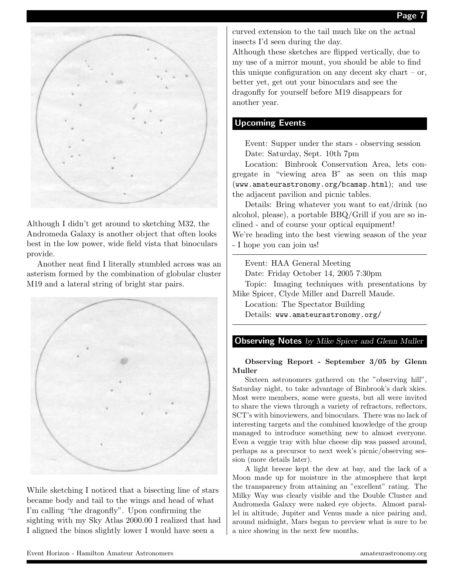

Although I didn't get around to sketching M32, the Andromeda Galaxy is another object that often looks best in the low power, wide field vista that binoculars provide.

Another neat find I literally stumbled across was an asterism formed by the combination of globular cluster M19 and a lateral string of bright star pairs.



While sketching I noticed that a bisecting line of stars became body and tail to the wings and head of what I'm calling "the dragonfly". Upon confirming the sighting with my Sky Atlas 2000.00 I realized that had I aligned the binos slightly lower I would have seen a

curved extension to the tail much like on the actual insects I'd seen during the day.

Although these sketches are flipped vertically, due to my use of a mirror mount, you should be able to find this unique configuration on any decent sky chart – or, better yet, get out your binoculars and see the dragonfly for yourself before M19 disappears for another year.

# Upcoming Events

Event: Supper under the stars - observing session Date: Saturday, Sept. 10th 7pm

Location: Binbrook Conservation Area, lets congregate in "viewing area B" as seen on this map (www.amateurastronomy.org/bcamap.html); and use the adjacent pavilion and picnic tables.

Details: Bring whatever you want to eat/drink (no alcohol, please), a portable BBQ/Grill if you are so inclined - and of course your optical equipment! We're heading into the best viewing season of the year

- I hope you can join us!

Event: HAA General Meeting

Date: Friday October 14, 2005 7:30pm

Topic: Imaging techniques with presentations by Mike Spicer, Clyde Miller and Darrell Maude.

Location: The Spectator Building

Details: www.amateurastronomy.org/

# **Observing Notes** by Mike Spicer and Glenn Muller

#### Observing Report - September 3/05 by Glenn Muller

Sixteen astronomers gathered on the "observing hill", Saturday night, to take advantage of Binbrook's dark skies. Most were members, some were guests, but all were invited to share the views through a variety of refractors, reflectors, SCT's with binoviewers, and binoculars. There was no lack of interesting targets and the combined knowledge of the group managed to introduce something new to almost everyone. Even a veggie tray with blue cheese dip was passed around, perhaps as a precursor to next week's picnic/observing session (more details later).

A light breeze kept the dew at bay, and the lack of a Moon made up for moisture in the atmosphere that kept the transparency from attaining an "excellent" rating. The Milky Way was clearly visible and the Double Cluster and Andromeda Galaxy were naked eye objects. Almost parallel in altitude, Jupiter and Venus made a nice pairing and, around midnight, Mars began to preview what is sure to be a nice showing in the next few months.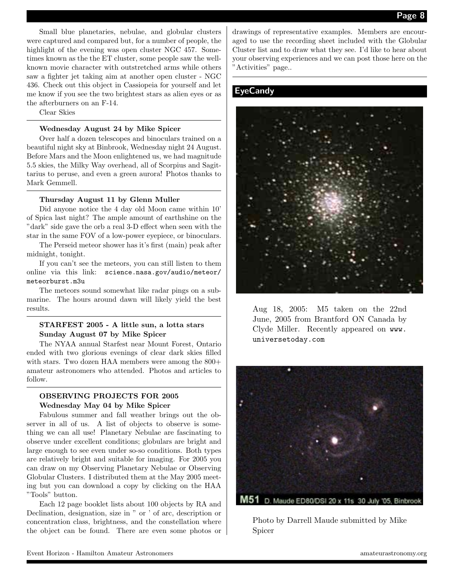Small blue planetaries, nebulae, and globular clusters were captured and compared but, for a number of people, the highlight of the evening was open cluster NGC 457. Sometimes known as the the ET cluster, some people saw the wellknown movie character with outstretched arms while others saw a fighter jet taking aim at another open cluster - NGC 436. Check out this object in Cassiopeia for yourself and let me know if you see the two brightest stars as alien eyes or as the afterburners on an F-14.

Clear Skies

#### Wednesday August 24 by Mike Spicer

Over half a dozen telescopes and binoculars trained on a beautiful night sky at Binbrook, Wednesday night 24 August. Before Mars and the Moon enlightened us, we had magnitude 5.5 skies, the Milky Way overhead, all of Scorpius and Sagittarius to peruse, and even a green aurora! Photos thanks to Mark Gemmell.

#### Thursday August 11 by Glenn Muller

Did anyone notice the 4 day old Moon came within 10' of Spica last night? The ample amount of earthshine on the "dark" side gave the orb a real 3-D effect when seen with the star in the same FOV of a low-power eyepiece, or binoculars.

The Perseid meteor shower has it's first (main) peak after midnight, tonight.

If you can't see the meteors, you can still listen to them online via this link: science.nasa.gov/audio/meteor/ meteorburst.m3u

The meteors sound somewhat like radar pings on a submarine. The hours around dawn will likely yield the best results.

#### STARFEST 2005 - A little sun, a lotta stars Sunday August 07 by Mike Spicer

The NYAA annual Starfest near Mount Forest, Ontario ended with two glorious evenings of clear dark skies filled with stars. Two dozen HAA members were among the  $800+$ amateur astronomers who attended. Photos and articles to follow.

### OBSERVING PROJECTS FOR 2005 Wednesday May 04 by Mike Spicer

Fabulous summer and fall weather brings out the observer in all of us. A list of objects to observe is something we can all use! Planetary Nebulae are fascinating to observe under excellent conditions; globulars are bright and large enough to see even under so-so conditions. Both types are relatively bright and suitable for imaging. For 2005 you can draw on my Observing Planetary Nebulae or Observing Globular Clusters. I distributed them at the May 2005 meeting but you can download a copy by clicking on the HAA "Tools" button.

Each 12 page booklet lists about 100 objects by RA and Declination, designation, size in " or ' of arc, description or concentration class, brightness, and the constellation where the object can be found. There are even some photos or drawings of representative examples. Members are encouraged to use the recording sheet included with the Globular Cluster list and to draw what they see. I'd like to hear about your observing experiences and we can post those here on the "Activities" page..

# **EyeCandy**



Aug 18, 2005: M5 taken on the 22nd June, 2005 from Brantford ON Canada by Clyde Miller. Recently appeared on www. universetoday.com



Photo by Darrell Maude submitted by Mike Spicer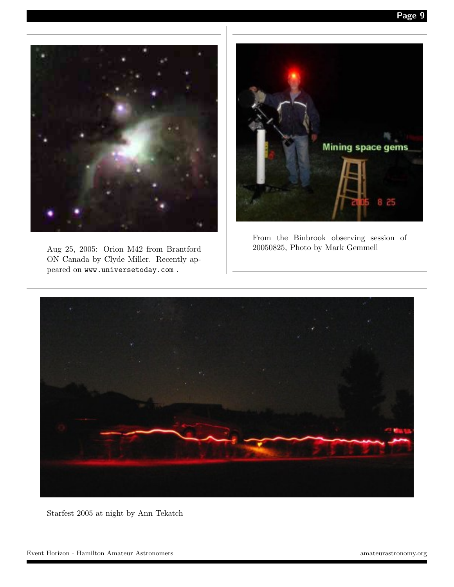Page 9



Aug 25, 2005: Orion M42 from Brantford ON Canada by Clyde Miller. Recently appeared on www.universetoday.com .



From the Binbrook observing session of 20050825, Photo by Mark Gemmell



Starfest 2005 at night by Ann Tekatch